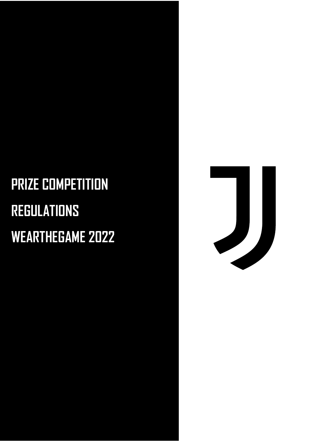## **PRIZE COMPETITION REGULATIONS WEARTHEGAME 2022**

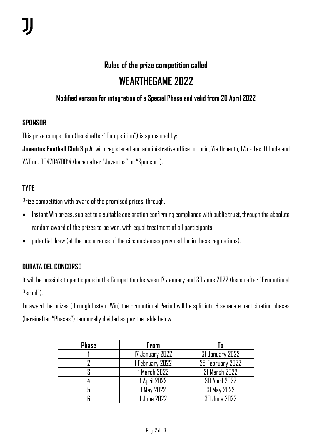#### **Rules of the prize competition called**

### **WEARTHEGAME 2022**

#### **Modified version for integration of a Special Phase and valid from 20 April 2022**

#### **SPONSOR**

This prize competition (hereinafter "Competition") is sponsored by:

**Juventus Football Club S.p.A.** with registered and administrative office in Turin, Via Druento, 175 - Tax ID Code and VAT no. 00470470014 (hereinafter "Juventus" or "Sponsor").

#### **TYPE**

Prize competition with award of the promised prizes, through:

- Instant Win prizes, subject to a suitable declaration confirming compliance with public trust, through the absolute random award of the prizes to be won, with equal treatment of all participants;
- potential draw (at the occurrence of the circumstances provided for in these regulations).

#### **DURATA DEL CONCORSO**

It will be possible to participate in the Competition between 17 January and 30 June 2022 (hereinafter "Promotional Period").

To award the prizes (through Instant Win) the Promotional Period will be split into 6 separate participation phases (hereinafter "Phases") temporally divided as per the table below:

| <b>Phase</b> | <b>From</b>     | To                   |  |
|--------------|-----------------|----------------------|--|
|              | 17 January 2022 | 31 January 2022      |  |
|              | 1 February 2022 | 28 February 2022     |  |
|              | 1 March 2022    | 31 March 2022        |  |
|              | 1 April 2022    | <b>30 April 2022</b> |  |
|              | 1 May 2022      | 31 May 2022          |  |
|              | June 2022       | $30$ June $2022$     |  |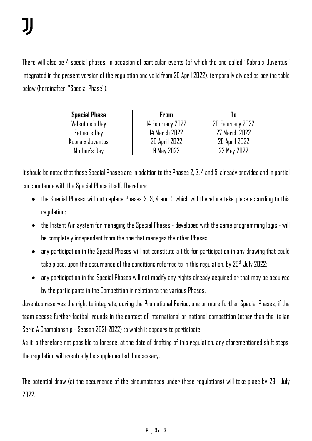There will also be 4 special phases, in occasion of particular events (of which the one called "Kobra x Juventus" integrated in the present version of the regulation and valid from 20 April 2022), temporally divided as per the table below (hereinafter, "Special Phase"):

| <b>Special Phase</b> | From                 | l 0                  |
|----------------------|----------------------|----------------------|
| Valentine's Day      | 14 February 2022     | 20 February 2022     |
| Father's Day         | 14 March 2022        | 27 March 2022        |
| Kobra x Juventus     | <b>20 April 2022</b> | <b>26 April 2022</b> |
| Mother's Day         | 9 May 2022           | 22 May 2022          |

It should be noted that these Special Phases are in addition to the Phases 2, 3, 4 and 5, already provided and in partial concomitance with the Special Phase itself. Therefore:

- the Special Phases will not replace Phases 2, 3, 4 and 5 which will therefore take place according to this regulation;
- the Instant Win system for managing the Special Phases developed with the same programming logic will be completely independent from the one that manages the other Phases;
- any participation in the Special Phases will not constitute a title for participation in any drawing that could take place, upon the occurrence of the conditions referred to in this regulation, by 29<sup>th</sup> July 2022;
- any participation in the Special Phases will not modify any rights already acquired or that may be acquired by the participants in the Competition in relation to the various Phases.

Juventus reserves the right to integrate, during the Promotional Period, one or more further Special Phases, if the team access further football rounds in the context of international or national competition (other than the Italian Serie A Championship - Season 2021-2022) to which it appears to participate.

As it is therefore not possible to foresee, at the date of drafting of this regulation, any aforementioned shift steps, the regulation will eventually be supplemented if necessary.

The potential draw (at the occurrence of the circumstances under these regulations) will take place by  $29<sup>th</sup>$  July 2022.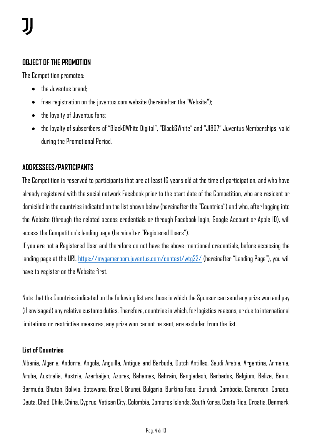#### **OBJECT OF THE PROMOTION**

The Competition promotes:

- the Juventus brand:
- free registration on the juventus.com website (hereinafter the "Website");
- the loyalty of Juventus fans;
- the loyalty of subscribers of "Black&White Digital", "Black&White" and "J1897" Juventus Memberships, valid during the Promotional Period.

#### **ADDRESSEES/PARTICIPANTS**

The Competition is reserved to participants that are at least 16 years old at the time of participation, and who have already registered with the social network Facebook prior to the start date of the Competition, who are resident or domiciled in the countries indicated on the list shown below (hereinafter the "Countries") and who, after logging into the Website (through the related access credentials or through Facebook login, Google Account or Apple ID), will access the Competition's landing page (hereinafter "Registered Users").

If you are not a Registered User and therefore do not have the above-mentioned credentials, before accessing the landing page at the URL <https://mygameroom.juventus.com/contest/wtg22/> (hereinafter "Landing Page"), you will have to register on the Website first.

Note that the Countries indicated on the following list are those in which the Sponsor can send any prize won and pay (if envisaged) any relative customs duties. Therefore, countries in which, for logistics reasons, or due to international limitations or restrictive measures, any prize won cannot be sent, are excluded from the list.

#### **List of Countries**

Albania, Algeria, Andorra, Angola, Anguilla, Antigua and Barbuda, Dutch Antilles, Saudi Arabia, Argentina, Armenia, Aruba, Australia, Austria, Azerbaijan, Azores, Bahamas, Bahrain, Bangladesh, Barbados, Belgium, Belize, Benin, Bermuda, Bhutan, Bolivia, Botswana, Brazil, Brunei, Bulgaria, Burkina Faso, Burundi, Cambodia, Cameroon, Canada, Ceuta, Chad, Chile, China, Cyprus, Vatican City, Colombia, Comoros Islands, South Korea, Costa Rica, Croatia, Denmark,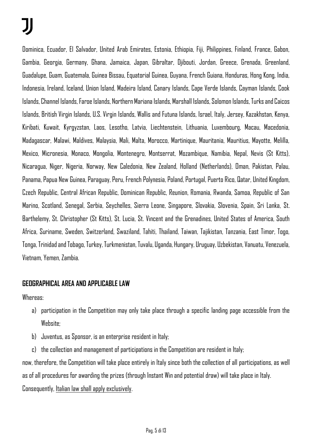Dominica, Ecuador, El Salvador, United Arab Emirates, Estonia, Ethiopia, Fiji, Philippines, Finland, France, Gabon, Gambia, Georgia, Germany, Ghana, Jamaica, Japan, Gibraltar, Djibouti, Jordan, Greece, Grenada, Greenland, Guadalupe, Guam, Guatemala, Guinea Bissau, Equatorial Guinea, Guyana, French Guiana, Honduras, Hong Kong, India, Indonesia, Ireland, Iceland, Union Island, Madeira Island, Canary Islands, Cape Verde Islands, Cayman Islands, Cook Islands, Channel Islands, Faroe Islands, Northern Mariana Islands, Marshall Islands, Solomon Islands, Turks and Caicos Islands, British Virgin Islands, U.S. Virgin Islands, Wallis and Futuna Islands, Israel, Italy, Jersey, Kazakhstan, Kenya, Kiribati, Kuwait, Kyrgyzstan, Laos, Lesotho, Latvia, Liechtenstein, Lithuania, Luxembourg, Macau, Macedonia, Madagascar, Malawi, Maldives, Malaysia, Mali, Malta, Morocco, Martinique, Mauritania, Mauritius, Mayotte, Melilla, Mexico, Micronesia, Monaco, Mongolia, Montenegro, Montserrat, Mozambique, Namibia, Nepal, Nevis (St Kitts), Nicaragua, Niger, Nigeria, Norway, New Caledonia, New Zealand, Holland (Netherlands), Oman, Pakistan, Palau, Panama, Papua New Guinea, Paraguay, Peru, French Polynesia, Poland, Portugal, Puerto Rico, Qatar, United Kingdom, Czech Republic, Central African Republic, Dominican Republic, Reunion, Romania, Rwanda, Samoa, Republic of San Marino, Scotland, Senegal, Serbia, Seychelles, Sierra Leone, Singapore, Slovakia, Slovenia, Spain, Sri Lanka, St. Barthelemy, St. Christopher (St Kitts), St. Lucia, St. Vincent and the Grenadines, United States of America, South Africa, Suriname, Sweden, Switzerland, Swaziland, Tahiti, Thailand, Taiwan, Tajikistan, Tanzania, East Timor, Togo, Tonga, Trinidad and Tobago, Turkey, Turkmenistan, Tuvalu, Uganda, Hungary, Uruguay, Uzbekistan, Vanuatu, Venezuela, Vietnam, Yemen, Zambia.

#### **GEOGRAPHICAL AREA AND APPLICABLE LAW**

Whereas:

- a) participation in the Competition may only take place through a specific landing page accessible from the Website;
- b) Juventus, as Sponsor, is an enterprise resident in Italy;
- c) the collection and management of participations in the Competition are resident in Italy;

now, therefore, the Competition will take place entirely in Italy since both the collection of all participations, as well as of all procedures for awarding the prizes (through Instant Win and potential draw) will take place in Italy. Consequently, Italian law shall apply exclusively.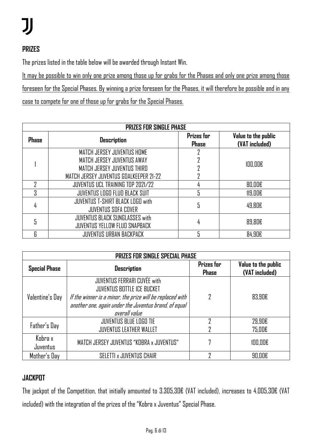#### **PRIZES**

The prizes listed in the table below will be awarded through Instant Win.

It may be possible to win only one prize among those up for grabs for the Phases and only one prize among those foreseen for the Special Phases. By winning a prize foreseen for the Phases, it will therefore be possible and in any case to compete for one of those up for grabs for the Special Phases.

| <b>PRIZES FOR SINGLE PHASE</b> |                                                                               |                                   |                                       |  |  |  |
|--------------------------------|-------------------------------------------------------------------------------|-----------------------------------|---------------------------------------|--|--|--|
| <b>Phase</b>                   | <b>Description</b>                                                            | <b>Prizes for</b><br><b>Phase</b> | Value to the public<br>(VAT included) |  |  |  |
|                                | MATCH JERSEY JUVENTUS HOME                                                    |                                   | $100.00\varepsilon$                   |  |  |  |
|                                | MATCH JERSEY JUVENTUS AWAY                                                    |                                   |                                       |  |  |  |
|                                | MATCH JERSEY JUVENTUS THIRD                                                   |                                   |                                       |  |  |  |
|                                | MATCH JERSEY JUVENTUS GOALKEEPER 21-22                                        |                                   |                                       |  |  |  |
|                                | <b>JUVENTUS UCL TRAINING TOP 2021/22</b>                                      | 4                                 | 80,00€                                |  |  |  |
| 3                              | JUVENTUS LOGO FLUO BLACK SUIT                                                 |                                   | 119,00E                               |  |  |  |
|                                | <b>JUVENTUS T-SHIRT BLACK LOGO with</b><br><b>JUVENTUS SOFA COVER</b>         | 5                                 | 49.80€                                |  |  |  |
|                                | <b>JUVENTUS BLACK SUNGLASSES with</b><br><b>JUVENTUS YELLOW FLUO SNAPBACK</b> |                                   | 89.80€                                |  |  |  |
| 6                              | <b>JUVENTUS URBAN BACKPACK</b>                                                |                                   | 84,90€                                |  |  |  |

| <b>PRIZES FOR SINGLE SPECIAL PHASE</b> |                                                                                                                                                                                                         |                                   |                                       |  |  |  |
|----------------------------------------|---------------------------------------------------------------------------------------------------------------------------------------------------------------------------------------------------------|-----------------------------------|---------------------------------------|--|--|--|
| <b>Special Phase</b>                   | <b>Description</b>                                                                                                                                                                                      | <b>Prizes for</b><br><b>Phase</b> | Value to the public<br>(VAT included) |  |  |  |
| Valentine's Day                        | JUVENTUS FERRARI CUVÉE with<br><b>JUVENTUS BOTTLE ICE BUCKET</b><br>If the winner is a minor, the prize will be replaced with<br>another one, again under the Juventus brand, of equal<br>overall value | 7                                 | 83,90€                                |  |  |  |
| Father's Day                           | <b>JUVENTUS BLUE LOGO TIE</b><br><b>JUVENTUS LEATHER WALLET</b>                                                                                                                                         | 7                                 | 29,90€<br>75,00€                      |  |  |  |
| Kobra x<br>Juventus                    | MATCH JERSEY JUVENTUS "KOBRA x JUVENTUS"                                                                                                                                                                |                                   | 100,00E                               |  |  |  |
| Mother's Day                           | SELETTI x JUVENTUS CHAIR                                                                                                                                                                                | ŋ                                 | 90.00€                                |  |  |  |

#### **JACKPOT**

The jackpot of the Competition, that initially amounted to 3.305,30€ (VAT included), increases to 4.005,30€ (VAT included) with the integration of the prizes of the "Kobra x Juventus" Special Phase.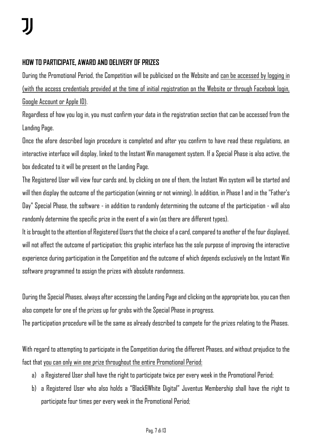#### **HOW TO PARTICIPATE, AWARD AND DELIVERY OF PRIZES**

During the Promotional Period, the Competition will be publicised on the Website and can be accessed by logging in (with the access credentials provided at the time of initial registration on the Website or through Facebook login, Google Account or Apple ID).

Regardless of how you log in, you must confirm your data in the registration section that can be accessed from the Landing Page.

Once the afore described login procedure is completed and after you confirm to have read these regulations, an interactive interface will display, linked to the Instant Win management system. If a Special Phase is also active, the box dedicated to it will be present on the Landing Page.

The Registered User will view four cards and, by clicking on one of them, the Instant Win system will be started and will then display the outcome of the participation (winning or not winning). In addition, in Phase 1 and in the "Father's Day" Special Phase, the software - in addition to randomly determining the outcome of the participation - will also randomly determine the specific prize in the event of a win (as there are different types).

It is brought to the attention of Registered Users that the choice of a card, compared to another of the four displayed, will not affect the outcome of participation; this graphic interface has the sole purpose of improving the interactive experience during participation in the Competition and the outcome of which depends exclusively on the Instant Win software programmed to assign the prizes with absolute randomness.

During the Special Phases, always after accessing the Landing Page and clicking on the appropriate box, you can then also compete for one of the prizes up for grabs with the Special Phase in progress.

The participation procedure will be the same as already described to compete for the prizes relating to the Phases.

With regard to attempting to participate in the Competition during the different Phases, and without prejudice to the fact that you can only win one prize throughout the entire Promotional Period:

- a) a Registered User shall have the right to participate twice per every week in the Promotional Period;
- b) a Registered User who also holds a "Black&White Digital" Juventus Membership shall have the right to participate four times per every week in the Promotional Period;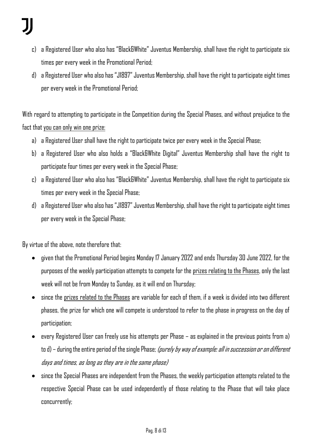- c) a Registered User who also has "Black&White" Juventus Membership, shall have the right to participate six times per every week in the Promotional Period;
- d) a Registered User who also has "J1897" Juventus Membership, shall have the right to participate eight times per every week in the Promotional Period;

With regard to attempting to participate in the Competition during the Special Phases, and without prejudice to the fact that you can only win one prize:

- a) a Registered User shall have the right to participate twice per every week in the Special Phase;
- b) a Registered User who also holds a "Black&White Digital" Juventus Membership shall have the right to participate four times per every week in the Special Phase;
- c) a Registered User who also has "Black&White" Juventus Membership, shall have the right to participate six times per every week in the Special Phase;
- d) a Registered User who also has "J1897" Juventus Membership, shall have the right to participate eight times per every week in the Special Phase;

By virtue of the above, note therefore that:

- given that the Promotional Period begins Monday 17 January 2022 and ends Thursday 30 June 2022, for the purposes of the weekly participation attempts to compete for the prizes relating to the Phases, only the last week will not be from Monday to Sunday, as it will end on Thursday;
- since the prizes related to the Phases are variable for each of them, if a week is divided into two different phases, the prize for which one will compete is understood to refer to the phase in progress on the day of participation;
- every Registered User can freely use his attempts per Phase as explained in the previous points from a) to d) – during the entire period of the single Phase; (purely by way of example: all in succession or on different days and times, as long as they are in the same phase)
- since the Special Phases are independent from the Phases, the weekly participation attempts related to the respective Special Phase can be used independently of those relating to the Phase that will take place concurrently;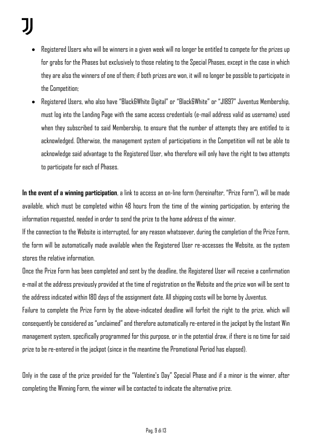- Registered Users who will be winners in a given week will no longer be entitled to compete for the prizes up for grabs for the Phases but exclusively to those relating to the Special Phases, except in the case in which they are also the winners of one of them; if both prizes are won, it will no longer be possible to participate in the Competition;
- Registered Users, who also have "Black&White Digital" or "Black&White" or "J1897" Juventus Membership, must log into the Landing Page with the same access credentials (e-mail address valid as username) used when they subscribed to said Membership, to ensure that the number of attempts they are entitled to is acknowledged. Otherwise, the management system of participations in the Competition will not be able to acknowledge said advantage to the Registered User, who therefore will only have the right to two attempts to participate for each of Phases.

**In the event of a winning participation**, a link to access an on-line form (hereinafter, "Prize Form"), will be made available, which must be completed within 48 hours from the time of the winning participation, by entering the information requested, needed in order to send the prize to the home address of the winner.

If the connection to the Website is interrupted, for any reason whatsoever, during the completion of the Prize Form, the form will be automatically made available when the Registered User re-accesses the Website, as the system stores the relative information.

Once the Prize Form has been completed and sent by the deadline, the Registered User will receive a confirmation e-mail at the address previously provided at the time of registration on the Website and the prize won will be sent to the address indicated within 180 days of the assignment date. All shipping costs will be borne by Juventus.

Failure to complete the Prize Form by the above-indicated deadline will forfeit the right to the prize, which will consequently be considered as "unclaimed" and therefore automatically re-entered in the jackpot by the Instant Win management system, specifically programmed for this purpose, or in the potential draw, if there is no time for said prize to be re-entered in the jackpot (since in the meantime the Promotional Period has elapsed).

Only in the case of the prize provided for the "Valentine's Day" Special Phase and if a minor is the winner, after completing the Winning Form, the winner will be contacted to indicate the alternative prize.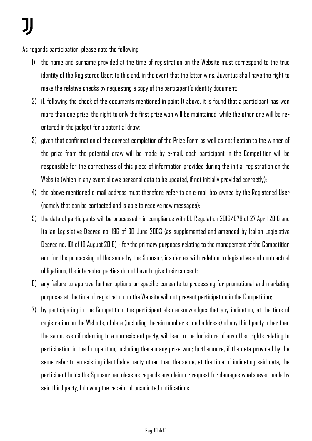As regards participation, please note the following:

- 1) the name and surname provided at the time of registration on the Website must correspond to the true identity of the Registered User; to this end, in the event that the latter wins, Juventus shall have the right to make the relative checks by requesting a copy of the participant's identity document;
- 2) if, following the check of the documents mentioned in point 1) above, it is found that a participant has won more than one prize, the right to only the first prize won will be maintained, while the other one will be reentered in the jackpot for a potential draw;
- 3) given that confirmation of the correct completion of the Prize Form as well as notification to the winner of the prize from the potential draw will be made by e-mail, each participant in the Competition will be responsible for the correctness of this piece of information provided during the initial registration on the Website (which in any event allows personal data to be updated, if not initially provided correctly);
- 4) the above-mentioned e-mail address must therefore refer to an e-mail box owned by the Registered User (namely that can be contacted and is able to receive new messages);
- 5) the data of participants will be processed in compliance with EU Regulation 2016/679 of 27 April 2016 and Italian Legislative Decree no. 196 of 30 June 2003 (as supplemented and amended by Italian Legislative Decree no. 101 of 10 August 2018) - for the primary purposes relating to the management of the Competition and for the processing of the same by the Sponsor, insofar as with relation to legislative and contractual obligations, the interested parties do not have to give their consent;
- 6) any failure to approve further options or specific consents to processing for promotional and marketing purposes at the time of registration on the Website will not prevent participation in the Competition;
- 7) by participating in the Competition, the participant also acknowledges that any indication, at the time of registration on the Website, of data (including therein number e-mail address) of any third party other than the same, even if referring to a non-existent party, will lead to the forfeiture of any other rights relating to participation in the Competition, including therein any prize won; furthermore, if the data provided by the same refer to an existing identifiable party other than the same, at the time of indicating said data, the participant holds the Sponsor harmless as regards any claim or request for damages whatsoever made by said third party, following the receipt of unsolicited notifications.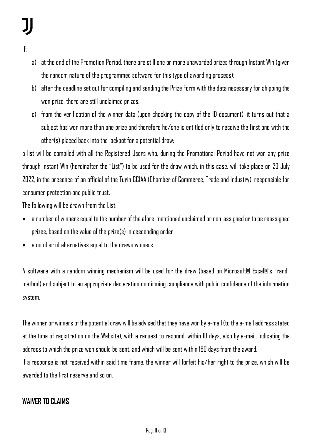- If:
- a) at the end of the Promotion Period, there are still one or more unawarded prizes through Instant Win (given the random nature of the programmed software for this type of awarding process);
- b) after the deadline set out for compiling and sending the Prize Form with the data necessary for shipping the won prize, there are still unclaimed prizes;
- c) from the verification of the winner data (upon checking the copy of the ID document), it turns out that a subject has won more than one prize and therefore he/she is entitled only to receive the first one with the other(s) placed back into the jackpot for a potential draw;

a list will be compiled with all the Registered Users who, during the Promotional Period have not won any prize through Instant Win (hereinafter the "List") to be used for the draw which, in this case, will take place on 29 July 2022, in the presence of an official of the Turin CCIAA (Chamber of Commerce, Trade and Industry), responsible for consumer protection and public trust.

The following will be drawn from the List:

- a number of winners equal to the number of the afore-mentioned unclaimed or non-assigned or to be reassigned prizes, based on the value of the prize(s) in descending order
- a number of alternatives equal to the drawn winners.

A software with a random winning mechanism will be used for the draw (based on Microsoft® Excel®'s "rand" method) and subject to an appropriate declaration confirming compliance with public confidence of the information system.

The winner or winners of the potential draw will be advised that they have won by e-mail (to the e-mail address stated at the time of registration on the Website), with a request to respond, within 10 days, also by e-mail, indicating the address to which the prize won should be sent, and which will be sent within 180 days from the award. If a response is not received within said time frame, the winner will forfeit his/her right to the prize, which will be awarded to the first reserve and so on.

#### **WAIVER TO CLAIMS**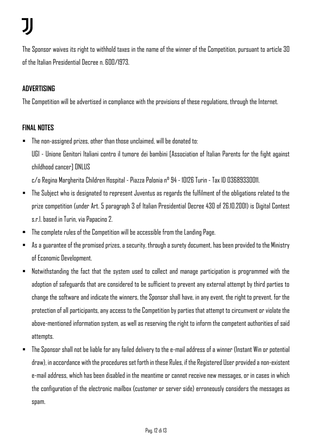The Sponsor waives its right to withhold taxes in the name of the winner of the Competition, pursuant to article 30 of the Italian Presidential Decree n. 600/1973.

#### **ADVERTISING**

The Competition will be advertised in compliance with the provisions of these regulations, through the Internet.

#### **FINAL NOTES**

 $\blacksquare$  The non-assigned prizes, other than those unclaimed, will be donated to:

UGI - Unione Genitori Italiani contro il tumore dei bambini [Association of Italian Parents for the fight against childhood cancer] ONLUS

c/o Regina Margherita Children Hospital - Piazza Polonia n° 94 - 10126 Turin - Tax ID 03689330011.

- The Subject who is designated to represent Juventus as regards the fulfilment of the obligations related to the prize competition (under Art. 5 paragraph 3 of Italian Presidential Decree 430 of 26.10.2001) is Digital Contest s.r.l. based in Turin, via Papacino 2.
- The complete rules of the Competition will be accessible from the Landing Page.
- $\blacksquare$  As a guarantee of the promised prizes, a security, through a surety document, has been provided to the Ministry of Economic Development.
- Notwithstanding the fact that the system used to collect and manage participation is programmed with the adoption of safeguards that are considered to be sufficient to prevent any external attempt by third parties to change the software and indicate the winners, the Sponsor shall have, in any event, the right to prevent, for the protection of all participants, any access to the Competition by parties that attempt to circumvent or violate the above-mentioned information system, as well as reserving the right to inform the competent authorities of said attempts.
- The Sponsor shall not be liable for any failed delivery to the e-mail address of a winner (Instant Win or potential draw), in accordance with the procedures set forth in these Rules, if the Registered User provided a non-existent e-mail address, which has been disabled in the meantime or cannot receive new messages, or in cases in which the configuration of the electronic mailbox (customer or server side) erroneously considers the messages as spam.